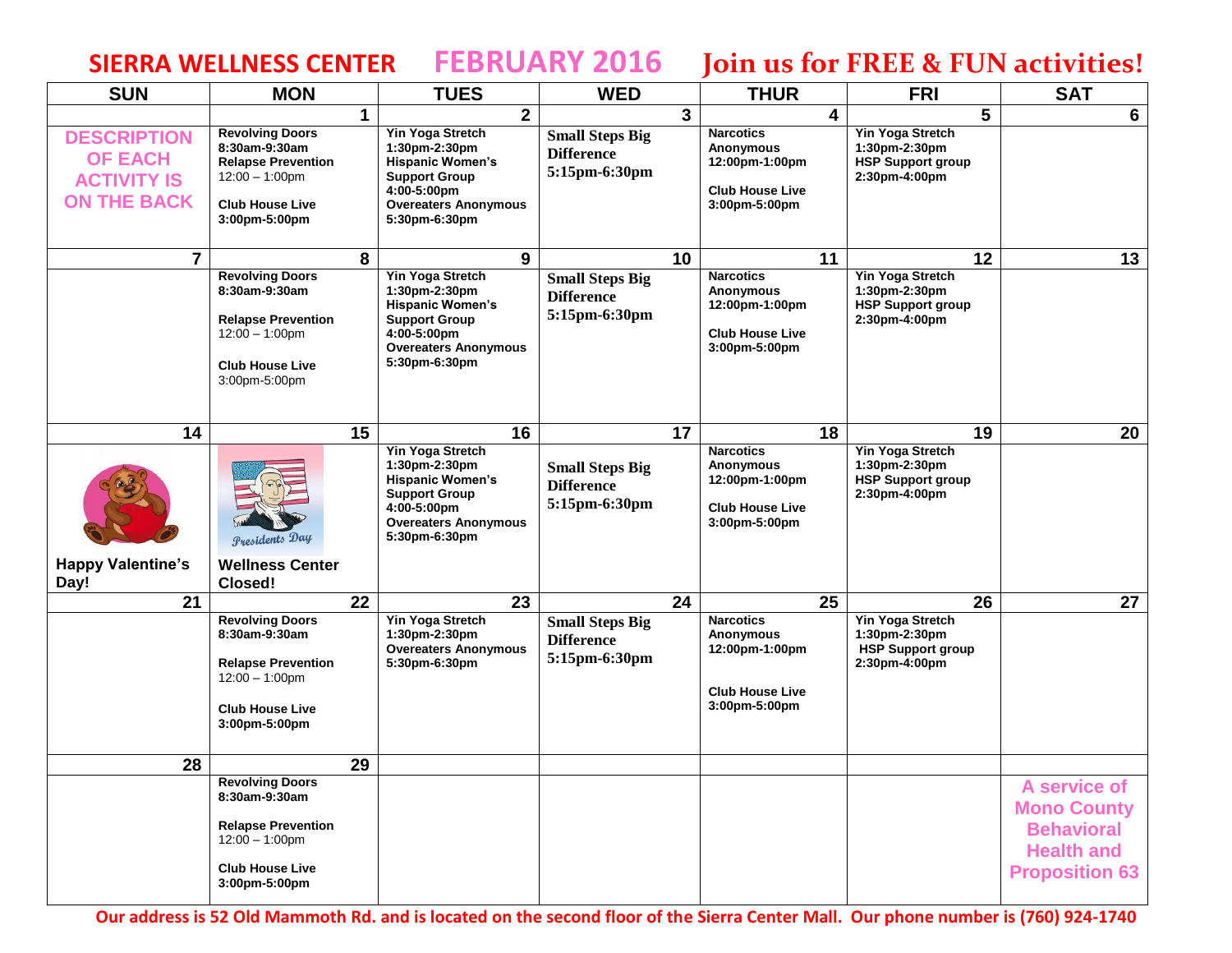## **SIERRA WELLNESS CENTER FEBRUARY 2016 Join us for FREE & FUN activities!**

| <b>SUN</b>                                                                       | <b>MON</b>                                                                                                                           | <b>TUES</b>                                                                                                                                                | <b>WED</b>                                                   |   | <b>THUR</b>                                                                                       |    | <b>FRI</b>                                                                            | <b>SAT</b>                                                                                            |
|----------------------------------------------------------------------------------|--------------------------------------------------------------------------------------------------------------------------------------|------------------------------------------------------------------------------------------------------------------------------------------------------------|--------------------------------------------------------------|---|---------------------------------------------------------------------------------------------------|----|---------------------------------------------------------------------------------------|-------------------------------------------------------------------------------------------------------|
|                                                                                  |                                                                                                                                      | 2 <sup>1</sup><br>1                                                                                                                                        |                                                              | 3 |                                                                                                   | 4  | 5                                                                                     | 6                                                                                                     |
| <b>DESCRIPTION</b><br><b>OF EACH</b><br><b>ACTIVITY IS</b><br><b>ON THE BACK</b> | <b>Revolving Doors</b><br>8:30am-9:30am<br><b>Relapse Prevention</b><br>$12:00 - 1:00$ pm<br><b>Club House Live</b><br>3:00pm-5:00pm | Yin Yoga Stretch<br>1:30pm-2:30pm<br><b>Hispanic Women's</b><br><b>Support Group</b><br>4:00-5:00pm<br><b>Overeaters Anonymous</b><br>5:30pm-6:30pm        | <b>Small Steps Big</b><br><b>Difference</b><br>5:15pm-6:30pm |   | <b>Narcotics</b><br><b>Anonymous</b><br>12:00pm-1:00pm<br><b>Club House Live</b><br>3:00pm-5:00pm |    | <b>Yin Yoga Stretch</b><br>1:30pm-2:30pm<br><b>HSP Support group</b><br>2:30pm-4:00pm |                                                                                                       |
| $\overline{7}$                                                                   |                                                                                                                                      | 9<br>8                                                                                                                                                     | 10                                                           |   |                                                                                                   | 11 | 12                                                                                    | 13                                                                                                    |
|                                                                                  | <b>Revolving Doors</b><br>8:30am-9:30am<br><b>Relapse Prevention</b><br>$12:00 - 1:00$ pm<br><b>Club House Live</b><br>3:00pm-5:00pm | <b>Yin Yoga Stretch</b><br>1:30pm-2:30pm<br><b>Hispanic Women's</b><br><b>Support Group</b><br>4:00-5:00pm<br><b>Overeaters Anonymous</b><br>5:30pm-6:30pm | <b>Small Steps Big</b><br><b>Difference</b><br>5:15pm-6:30pm |   | <b>Narcotics</b><br><b>Anonymous</b><br>12:00pm-1:00pm<br><b>Club House Live</b><br>3:00pm-5:00pm |    | <b>Yin Yoga Stretch</b><br>1:30pm-2:30pm<br><b>HSP Support group</b><br>2:30pm-4:00pm |                                                                                                       |
| 14                                                                               | 15                                                                                                                                   | 16                                                                                                                                                         | $\overline{17}$                                              |   |                                                                                                   | 18 | 19                                                                                    | 20                                                                                                    |
| <b>Happy Valentine's</b><br>Day!                                                 | <b>Presidents Day</b><br><b>Wellness Center</b><br>Closed!                                                                           | <b>Yin Yoga Stretch</b><br>1:30pm-2:30pm<br><b>Hispanic Women's</b><br><b>Support Group</b><br>4:00-5:00pm<br><b>Overeaters Anonymous</b><br>5:30pm-6:30pm | <b>Small Steps Big</b><br><b>Difference</b><br>5:15pm-6:30pm |   | <b>Narcotics</b><br>Anonymous<br>12:00pm-1:00pm<br><b>Club House Live</b><br>3:00pm-5:00pm        |    | <b>Yin Yoga Stretch</b><br>1:30pm-2:30pm<br><b>HSP Support group</b><br>2:30pm-4:00pm |                                                                                                       |
| 21                                                                               | 22                                                                                                                                   | 23                                                                                                                                                         | 24                                                           |   |                                                                                                   | 25 | 26                                                                                    | 27                                                                                                    |
|                                                                                  | <b>Revolving Doors</b><br>8:30am-9:30am<br><b>Relapse Prevention</b><br>$12:00 - 1:00$ pm<br><b>Club House Live</b><br>3:00pm-5:00pm | <b>Yin Yoga Stretch</b><br>1:30pm-2:30pm<br><b>Overeaters Anonymous</b><br>5:30pm-6:30pm                                                                   | <b>Small Steps Big</b><br><b>Difference</b><br>5:15pm-6:30pm |   | <b>Narcotics</b><br>Anonymous<br>12:00pm-1:00pm<br><b>Club House Live</b><br>3:00pm-5:00pm        |    | <b>Yin Yoga Stretch</b><br>1:30pm-2:30pm<br><b>HSP Support group</b><br>2:30pm-4:00pm |                                                                                                       |
| 28                                                                               | 29                                                                                                                                   |                                                                                                                                                            |                                                              |   |                                                                                                   |    |                                                                                       |                                                                                                       |
|                                                                                  | <b>Revolving Doors</b><br>8:30am-9:30am<br><b>Relapse Prevention</b><br>$12:00 - 1:00$ pm<br><b>Club House Live</b><br>3:00pm-5:00pm |                                                                                                                                                            |                                                              |   |                                                                                                   |    |                                                                                       | A service of<br><b>Mono County</b><br><b>Behavioral</b><br><b>Health and</b><br><b>Proposition 63</b> |

**Our address is 52 Old Mammoth Rd. and is located on the second floor of the Sierra Center Mall. Our phone number is (760) 924-1740**